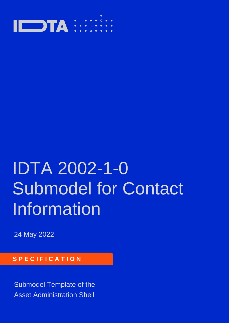

# IDTA 2002-1-0 Submodel for Contact Information

24 May 2022

### **S P E C I F I C A T I O N**

Submodel Template of the Asset Administration Shell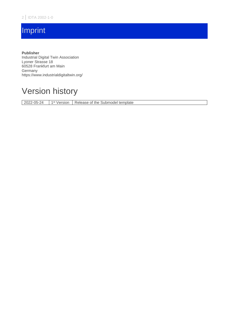# **Imprint**

**Publisher** Industrial Digital Twin Association Lyoner Strasse 18 60528 Frankfurt am Main Germany https://www.industrialdigitaltwin.org/

# Version history

2022-05-24 1 1<sup>st</sup> Version | Release of the Submodel template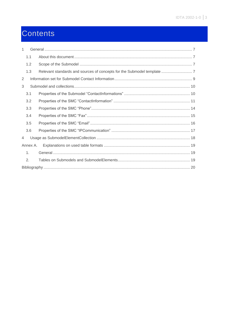# Contents

| 1 |                |  |
|---|----------------|--|
|   | 1.1            |  |
|   | 1.2            |  |
|   | 1.3            |  |
| 2 |                |  |
| 3 |                |  |
|   | 3.1            |  |
|   | 3.2            |  |
|   | 3.3            |  |
|   | 3.4            |  |
|   | 3.5            |  |
|   | 3.6            |  |
| 4 |                |  |
|   | Annex A.       |  |
|   | $\mathbf{1}$ . |  |
|   | 2.             |  |
|   |                |  |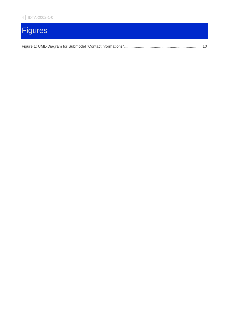# **Figures**

|--|--|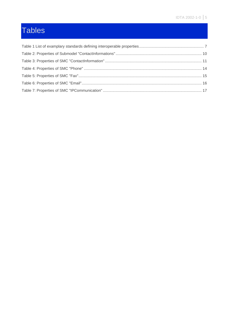# Tables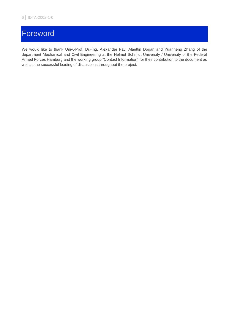# Foreword

We would like to thank Univ.-Prof. Dr.-Ing. Alexander Fay, Alaettin Dogan and Yuanheng Zhang of the department Mechanical and Civil Engineering at the Helmut Schmidt University / University of the Federal Armed Forces Hamburg and the working group "Contact Information" for their contribution to the document as well as the successful leading of discussions throughout the project.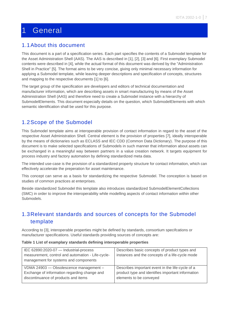# <span id="page-6-0"></span>1 General

#### <span id="page-6-1"></span>1.1About this document

This document is a part of a specification series. Each part specifies the contents of a Submodel template for the Asset Administration Shell (AAS). The AAS is described in [1], [2], [3] and [6]. First exemplary Submodel contents were described in [4], while the actual format of this document was derived by the "Administration Shell in Practice" [5]. The format aims to be very concise, giving only minimal necessary information for applying a Submodel template, while leaving deeper descriptions and specification of concepts, structures and mapping to the respective documents [1] to [6].

The target group of the specification are developers and editors of technical documentation and manufacturer information, which are describing assets in smart manufacturing by means of the Asset Administration Shell (AAS) and therefore need to create a Submodel instance with a hierarchy of SubmodelElements. This document especially details on the question, which SubmodelElements with which semantic identification shall be used for this purpose.

### <span id="page-6-2"></span>1.2Scope of the Submodel

This Submodel template aims at interoperable provision of contact information in regard to the asset of the respective Asset Administration Shell. Central element is the provision of properties [7], ideally interoperable by the means of dictionaries such as ECLASS and IEC CDD (Common Data Dictionary). The purpose of this document is to make selected specifications of Submodels in such manner that information about assets can be exchanged in a meaningful way between partners in a value creation network. It targets equipment for process industry and factory automation by defining standardized meta data.

The intended use-case is the provision of a standardized property structure for contact information, which can effectively accelerate the preperation for asset maintenance.

This concept can serve as a basis for standardizing the respective Submodel. The conception is based on studies of common practices at enterprises.

Beside standardized Submodel this template also introduces standardized SubmodelElementCollections (SMC) in order to improve the interoperability while modelling aspects of contact information within other Submodels.

#### <span id="page-6-3"></span>1.3Relevant standards and sources of concepts for the Submodel template

According to [3], interoperable properties might be defined by standards, consortium specifcations or manufacturer specifications. Useful standards providing sources of concepts are:

#### <span id="page-6-4"></span>**Table 1 List of examplary standards defining interoperable properties**

| IEC 62890:2020-07 - Industrial-process<br>measurement, control and automation - Life-cycle-<br>management for systems and components | Describes basic concepts of product types and<br>instances and the concepts of a life-cycle mode |
|--------------------------------------------------------------------------------------------------------------------------------------|--------------------------------------------------------------------------------------------------|
| VDMA 24903 - Obsolescence management -                                                                                               | Describes important event in the life-cycle of a                                                 |
| Exchange of information regarding change and                                                                                         | product type and identifies important information                                                |
| discontinuance of products and items                                                                                                 | elements to be conveyed                                                                          |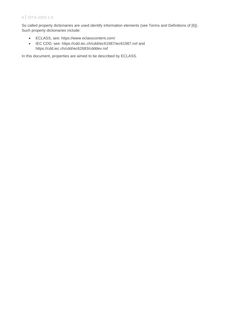So called property dictionaries are used identify information elements (see Terms and Definitions of [6]). Such property dictionaries include:

- ECLASS, see: https://www.eclasscontent.com/
- IEC CDD, see: https://cdd.iec.ch/cdd/iec61987/iec61987.nsf and https://cdd.iec.ch/cdd/iec62683/cdddev.nsf

In this document, properties are aimed to be described by ECLASS.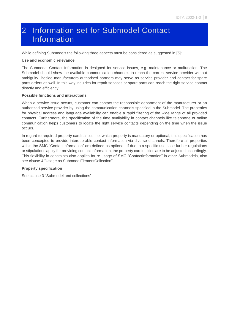# <span id="page-8-0"></span>2 Information set for Submodel Contact Information

While defining Submodels the following three aspects must be considered as suggested in [5]:

#### **Use and economic relevance**

The Submodel Contact Information is designed for service issues, e.g. maintenance or malfunction. The Submodel should show the available communication channels to reach the correct service provider without ambiguity. Beside manufacturers authorised partners may serve as service provider and contact for spare parts orders as well. In this way inquiries for repair services or spare parts can reach the right service contact directly and efficiently.

#### **Possible functions and interactions**

When a service issue occurs, customer can contact the responsible department of the manufacturer or an authorized service provider by using the communication channels specified in the Submodel. The properties for physical address and language availability can enable a rapid filtering of the wide range of all provided contacts. Furthermore, the specification of the time availability in contact channels like telephone or online communication helps customers to locate the right service contacts depending on the time when the issue occurs.

In regard to required property cardinalities, i.e. which property is mandatory or optional, this specification has been concepted to provide interoperable contact information via diverse channels. Therefore all properties within the SMC "ContactInformation" are defined as optional. If due to a specific use case further regulations or stipulations apply for providing contact information, the property cardinalities are to be adjusted accordingly. This flexibility in constaints also applies for re-usage of SMC "ContactInformation" in other Submodels, also see clause [4](#page-17-0) ["Usage as SubmodelElementCollection"](#page-17-0).

#### **Property specification**

See clause [3](#page-9-0) ["Submodel and collections"](#page-9-0).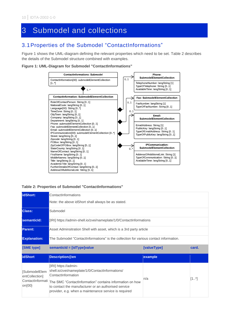# <span id="page-9-0"></span>3 Submodel and collections

## <span id="page-9-1"></span>3.1Properties of the Submodel "ContactInformations"

[Figure 1](#page-9-2) shows the UML-diagram defining the relevant properties which need to be set. [Table 2](#page-9-3) describes the details of the Submodel structure combined with examples.

#### <span id="page-9-2"></span>**Figure 1: UML-Diagram for Submodel "ContactInformations"**



#### <span id="page-9-3"></span>**Table 2: Properties of Submodel "ContactInformations"**

| lidShort:           | ContactInformations<br>Note: the above idShort shall always be as stated.             |             |       |  |  |
|---------------------|---------------------------------------------------------------------------------------|-------------|-------|--|--|
| <b>Class:</b>       | Submodel                                                                              |             |       |  |  |
| semanticld:         | [IRI] https://admin-shell.io/zvei/nameplate/1/0/ContactInformations                   |             |       |  |  |
| <b>Parent:</b>      | Asset Adminsitration Shell with asset, which is a 3rd party article                   |             |       |  |  |
| <b>Explanation:</b> | The Submodel "ContactInformations" is the collection for various contact information. |             |       |  |  |
| [SME type]          |                                                                                       |             |       |  |  |
|                     | semanticId = [idType]value                                                            | [valueType] | card. |  |  |
| <b>idShort</b>      | <b>Description@en</b>                                                                 | example     |       |  |  |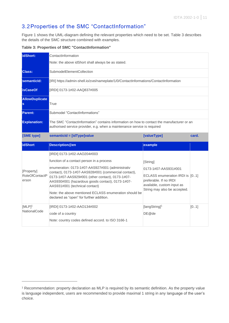### <span id="page-10-0"></span>3.2Properties of the SMC "ContactInformation"

[Figure 1](#page-9-2) shows the UML-diagram defining the relevant properties which need to be set. [Table 3](#page-10-1) describes the details of the SMC structure combined with examples.

<span id="page-10-1"></span>**Table 3: Properties of SMC "ContactInformation"**

| idShort:                                     | ContactInformation                                                                                                                                                                                                                                                                                                                                                                                                                   |                                                                                                                                                             |       |  |  |
|----------------------------------------------|--------------------------------------------------------------------------------------------------------------------------------------------------------------------------------------------------------------------------------------------------------------------------------------------------------------------------------------------------------------------------------------------------------------------------------------|-------------------------------------------------------------------------------------------------------------------------------------------------------------|-------|--|--|
|                                              | Note: the above idShort shall always be as stated.                                                                                                                                                                                                                                                                                                                                                                                   |                                                                                                                                                             |       |  |  |
| <b>Class:</b>                                | SubmodelElementCollection                                                                                                                                                                                                                                                                                                                                                                                                            |                                                                                                                                                             |       |  |  |
| semanticld:                                  | [IRI] https://admin-shell.io/zvei/nameplate/1/0/ContactInformations/ContactInformation                                                                                                                                                                                                                                                                                                                                               |                                                                                                                                                             |       |  |  |
| <b>isCaseOf</b>                              | [IRDI] 0173-1#02-AAQ837#005                                                                                                                                                                                                                                                                                                                                                                                                          |                                                                                                                                                             |       |  |  |
| <b>AllowDuplicate</b><br>True<br>ls          |                                                                                                                                                                                                                                                                                                                                                                                                                                      |                                                                                                                                                             |       |  |  |
| Parent:                                      | Submodel "ContactInformations"                                                                                                                                                                                                                                                                                                                                                                                                       |                                                                                                                                                             |       |  |  |
| <b>Explanation:</b>                          | The SMC "ContactInformation" contains information on how to contact the manufacturer or an<br>authorised service provider, e.g. when a maintenance service is required                                                                                                                                                                                                                                                               |                                                                                                                                                             |       |  |  |
| [SME type]                                   | semanticId = [idType]value                                                                                                                                                                                                                                                                                                                                                                                                           | [valueType]                                                                                                                                                 | card. |  |  |
| <b>idShort</b>                               | <b>Description@en</b>                                                                                                                                                                                                                                                                                                                                                                                                                | example                                                                                                                                                     |       |  |  |
| [Property]<br><b>RoleOfContactP</b><br>erson | [IRDI] 0173-1#02-AAO204#003<br>function of a contact person in a process<br>enumeration: 0173-1#07-AAS927#001 (administrativ<br>contact), 0173-1#07-AAS928#001 (commercial contact),<br>0173-1#07-AAS929#001 (other contact), 0173-1#07-<br>AAS930#001 (hazardous goods contact), 0173-1#07-<br>AAS931#001 (technical contact)<br>Note: the above mentioned ECLASS enumeration should be<br>declared as "open" for further addition. | [String]<br>0173-1#07-AAS931#001<br>ECLASS enumeration IRDI is [01]<br>preferable. If no IRDI<br>available, custom input as<br>String may also be accepted. |       |  |  |
| $[MLP]$ <sup>1</sup><br>NationalCode         | [IRDI] 0173-1#02-AAO134#002<br>code of a country                                                                                                                                                                                                                                                                                                                                                                                     | [langString] <sup>1</sup><br>DE@de                                                                                                                          | [01]  |  |  |

<span id="page-10-2"></span><sup>1</sup> Recommendation: property declaration as MLP is required by its semantic definition. As the property value is language independent, users are recommended to provide maximal 1 string in any language of the user's choice.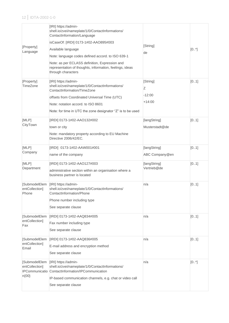| [Property]<br>Language                   | [IRI] https://admin-<br>shell.io/zvei/nameplate/1/0/ContactInformations/<br>ContactInformation/Language<br>isCaseOf: [IRDI] 0173-1#02-AAO895#003<br>Available language<br>Note: language codes defined accord. to ISO 639-1<br>Note: as per ECLASS definition, Expression and<br>representation of thoughts, information, feelings, ideas<br>through characters | [String]<br>de                        | $[0,.*]$ |
|------------------------------------------|-----------------------------------------------------------------------------------------------------------------------------------------------------------------------------------------------------------------------------------------------------------------------------------------------------------------------------------------------------------------|---------------------------------------|----------|
| [Property]<br>TimeZone                   | [IRI] https://admin-<br>shell.io/zvei/nameplate/1/0/ContactInformations/<br>ContactInformation/TimeZone<br>offsets from Coordinated Universal Time (UTC)<br>Note: notation accord, to ISO 8601<br>Note: for time in UTC the zone designator "Z" is to be used                                                                                                   | [String]<br>Ζ<br>$-12:00$<br>$+14:00$ | [01]     |
| [MLP]<br>CityTown                        | [IRDI] 0173-1#02-AAO132#002<br>town or city<br>Note: mandatory property according to EU Machine<br>Directive 2006/42/EC.                                                                                                                                                                                                                                        | [langString]<br>Musterstadt@de        | [01]     |
| [MLP]<br>Company                         | [IRDI] 0173-1#02-AAW001#001<br>name of the company                                                                                                                                                                                                                                                                                                              | [langString]<br>ABC Company@en        | [01]     |
| [MLP]<br>Department                      | [IRDI] 0173-1#02-AAO127#003<br>administrative section within an organisation where a<br>business partner is located                                                                                                                                                                                                                                             | [langString]<br>Vertrieb@de           | [01]     |
| [SubmodelElem<br>entCollection]<br>Phone | [IRI] https://admin-<br>shell.io/zvei/nameplate/1/0/ContactInformations/<br>ContactInformation/Phone<br>Phone number including type<br>See separate clause                                                                                                                                                                                                      | n/a                                   | [01]     |
| [SubmodelElem<br>entCollection]<br>Fax   | [IRDI] 0173-1#02-AAQ834#005<br>Fax number including type<br>See separate clause                                                                                                                                                                                                                                                                                 | n/a                                   | [01]     |
| [SubmodelElem<br>entCollection]<br>Email | [IRDI] 0173-1#02-AAQ836#005<br>E-mail address and encryption method<br>See separate clause                                                                                                                                                                                                                                                                      | n/a                                   | [01]     |
| entCollection]<br>$n{00}$                | [SubmodelElem [IRI] https://admin-<br>shell.io/zvei/nameplate/1/0/ContactInformations/<br>IPCommunicatio ContactInformation/IPCommunication<br>IP-based communication channels, e.g. chat or video call<br>See separate clause                                                                                                                                  | n/a                                   | [0, 1]   |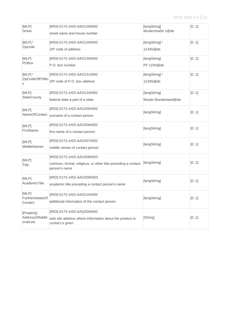| [MLP]<br><b>Street</b>                     | [IRDI] 0173-1#02-AAO128#002<br>street name and house number                                                   | [langString]<br>Musterstraße 1@de     | [01] |
|--------------------------------------------|---------------------------------------------------------------------------------------------------------------|---------------------------------------|------|
| $[MLP]$ <sup>1</sup><br>Zipcode            | [IRDI] 0173-1#02-AAO129#002<br>ZIP code of address                                                            | [langString] <sup>1</sup><br>12345@de | [01] |
| [MLP]<br><b>POBox</b>                      | [IRDI] 0173-1#02-AAO130#002<br>P.O. box number                                                                | [langString]<br>PF 1234@de            | [01] |
| $[MLP]$ <sup>1</sup><br>ZipCodeOfPOBo<br>х | [IRDI] 0173-1#02-AAO131#002<br>ZIP code of P.O. box address                                                   | [langString] <sup>1</sup><br>12345@de | [01] |
| [MLP]<br>StateCounty                       | [IRDI] 0173-1#02-AAO133#002<br>federal state a part of a state                                                | [langString]<br>Muster-Bundesland@de  | [01] |
| [MLP]<br>NameOfContact                     | [IRDI] 0173-1#02-AAO205#002<br>surname of a contact person                                                    | [langString]                          | [01] |
| [MLP]<br>FirstName                         | [IRDI] 0173-1#02-AAO206#002<br>first name of a contact person                                                 | [langString]                          | [01] |
| [MLP]<br><b>MiddleNames</b>                | [IRDI] 0173-1#02-AAO207#002<br>middle names of contact person                                                 | [langString]                          | [01] |
| [MLP]<br><b>Title</b>                      | [IRDI] 0173-1#02-AAO208#003<br>common, formal, religious, or other title preceding a contact<br>person's name | [langString]                          | [01] |
| [MLP]<br>AcademicTitle                     | [IRDI] 0173-1#02-AAO209#003<br>academic title preceding a contact person's name                               | [langString]                          | [01] |
| [MLP]<br>FurtherDetailsOf<br>Contact       | [IRDI] 0173-1#02-AAO210#002<br>additional information of the contact person                                   | [langString]                          | [01] |
| [Property]<br>AddressOfAdditi<br>onalLink  | [IRDI] 0173-1#02-AAQ326#002<br>web site address where information about the product or<br>contact is given    | [String]                              | [01] |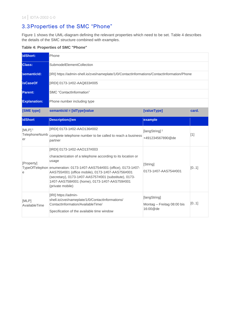### <span id="page-13-0"></span>3.3Properties of the SMC "Phone"

[Figure 1](#page-9-2) shows the UML-diagram defining the relevant properties which need to be set. [Table 4](#page-13-1) describes the details of the SMC structure combined with examples.

<span id="page-13-1"></span>**Table 4: Properties of SMC "Phone"**

| idShort:             | Phone                                                                                                                                                                                                                                                  |                                        |       |  |
|----------------------|--------------------------------------------------------------------------------------------------------------------------------------------------------------------------------------------------------------------------------------------------------|----------------------------------------|-------|--|
| <b>Class:</b>        | SubmodelElementCollection                                                                                                                                                                                                                              |                                        |       |  |
| semanticld:          | [IRI] https://admin-shell.io/zvei/nameplate/1/0/ContactInformations/ContactInformation/Phone                                                                                                                                                           |                                        |       |  |
| <b>isCaseOf</b>      | [IRDI] 0173-1#02-AAQ833#005                                                                                                                                                                                                                            |                                        |       |  |
| <b>Parent:</b>       | SMC "ContactInformation"                                                                                                                                                                                                                               |                                        |       |  |
| <b>Explanation:</b>  | Phone number including type                                                                                                                                                                                                                            |                                        |       |  |
| [SME type]           | semanticId = [idType]value                                                                                                                                                                                                                             | [valueType]                            | card. |  |
| <b>idShort</b>       | <b>Description@en</b>                                                                                                                                                                                                                                  | example                                |       |  |
| $[MLP]$ <sup>1</sup> | [IRDI] 0173-1#02-AAO136#002                                                                                                                                                                                                                            | [langString] <sup>1</sup>              |       |  |
| TelephoneNumb<br>er  | complete telephone number to be called to reach a business<br>partner                                                                                                                                                                                  | +491234567890@de                       | $[1]$ |  |
|                      | [IRDI] 0173-1#02-AAO137#003<br>characterization of a telephone according to its location or                                                                                                                                                            |                                        |       |  |
| [Property]           | usage                                                                                                                                                                                                                                                  | [String]                               |       |  |
| e                    | TypeOfTelephon enumeration: 0173-1#07-AAS754#001 (office), 0173-1#07-<br>AAS755#001 (office mobile), 0173-1#07-AAS756#001<br>(secretary), 0173-1#07-AAS757#001 (substitute), 0173-<br>1#07-AAS758#001 (home), 0173-1#07-AAS759#001<br>(private mobile) | 0173-1#07-AAS754#001                   | [01]  |  |
| [MLP]                | [IRI] https://admin-<br>shell.io/zvei/nameplate/1/0/ContactInformations/                                                                                                                                                                               | [langString]                           |       |  |
| AvailableTime        | ContactInformation/AvailableTime/                                                                                                                                                                                                                      | Montag - Freitag 08:00 bis<br>16:00@de | [01]  |  |
|                      | Specification of the available time window                                                                                                                                                                                                             |                                        |       |  |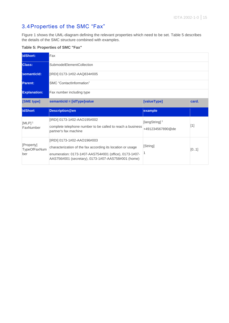### <span id="page-14-0"></span>3.4Properties of the SMC "Fax"

[Figure 1](#page-9-2) shows the UML-diagram defining the relevant properties which need to be set. [Table 5](#page-14-1) describes the details of the SMC structure combined with examples.

<span id="page-14-1"></span>**Table 5: Properties of SMC "Fax"**

| lidShort:                         | Fax                                                                                                                |                                               |       |  |  |
|-----------------------------------|--------------------------------------------------------------------------------------------------------------------|-----------------------------------------------|-------|--|--|
| <b>Class:</b>                     | SubmodelElementCollection                                                                                          |                                               |       |  |  |
| semanticld:                       | [IRDI] 0173-1#02-AAQ834#005                                                                                        |                                               |       |  |  |
| <b>Parent:</b>                    | SMC "ContactInformation"                                                                                           |                                               |       |  |  |
| <b>Explanation:</b>               | Fax number including type                                                                                          |                                               |       |  |  |
| [SME type]                        | semanticId = [idType]value                                                                                         | [valueType]                                   | card. |  |  |
|                                   |                                                                                                                    |                                               |       |  |  |
| <b>idShort</b>                    | <b>Description@en</b>                                                                                              | example                                       |       |  |  |
| $[MLP]$ <sup>1</sup><br>FaxNumber | [IRDI] 0173-1#02-AAO195#002<br>complete telephone number to be called to reach a business<br>partner's fax machine | [langString] <sup>1</sup><br>+491234567890@de | $[1]$ |  |  |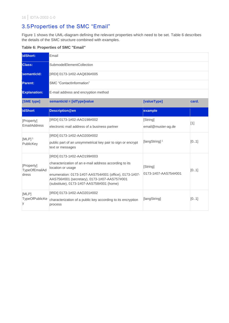### <span id="page-15-0"></span>3.5Properties of the SMC "Email"

[Figure 1](#page-9-2) shows the UML-diagram defining the relevant properties which need to be set. [Table 6](#page-15-1) describes the details of the SMC structure combined with examples.

#### <span id="page-15-1"></span>**Table 6: Properties of SMC "Email"**

| idShort:                            | Email                                                                                                                                               |                           |       |  |
|-------------------------------------|-----------------------------------------------------------------------------------------------------------------------------------------------------|---------------------------|-------|--|
| <b>Class:</b>                       | SubmodelElementCollection                                                                                                                           |                           |       |  |
| semanticld:                         | [IRDI] 0173-1#02-AAQ836#005                                                                                                                         |                           |       |  |
| <b>Parent:</b>                      | SMC "ContactInformation"                                                                                                                            |                           |       |  |
| <b>Explanation:</b>                 | E-mail address and encryption method                                                                                                                |                           |       |  |
| [SME type]                          | semanticId = [idType]value                                                                                                                          | [valueType]               | card. |  |
| <b>idShort</b>                      | <b>Description@en</b>                                                                                                                               | example                   |       |  |
| [Property]                          | [IRDI] 0173-1#02-AAO198#002                                                                                                                         | [String]                  | $[1]$ |  |
| <b>EmailAddress</b>                 | electronic mail address of a business partner                                                                                                       | email@muster-ag.de        |       |  |
| $[MLP]$ <sup>1</sup>                | [IRDI] 0173-1#02-AAO200#002                                                                                                                         |                           |       |  |
| PublicKey                           | public part of an unsymmetrical key pair to sign or encrypt<br>text or messages                                                                     | [langString] <sup>1</sup> | [01]  |  |
|                                     | [IRDI] 0173-1#02-AAO199#003                                                                                                                         |                           |       |  |
| [Property]<br>TypeOfEmailAd         | characterization of an e-mail address according to its<br>location or usage                                                                         | [String]                  | [01]  |  |
| dress                               | enumeration: 0173-1#07-AAS754#001 (office), 0173-1#07-<br>AAS756#001 (secretary), 0173-1#07-AAS757#001<br>(substitute), 0173-1#07-AAS758#001 (home) | 0173-1#07-AAS754#001      |       |  |
| [MLP]<br><b>TypeOfPublicKe</b><br>У | [IRDI] 0173-1#02-AAO201#002<br>characterization of a public key according to its encryption<br>process                                              | [langString]              | [01]  |  |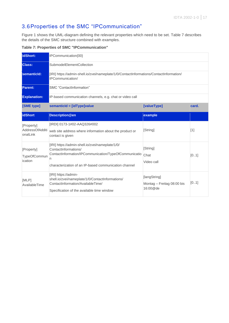### <span id="page-16-0"></span>3.6Properties of the SMC "IPCommunication"

[Figure 1](#page-9-2) shows the UML-diagram defining the relevant properties which need to be set. [Table 7](#page-16-1) describes the details of the SMC structure combined with examples.

<span id="page-16-1"></span>**Table 7: Properties of SMC "IPCommunication"**

| idShort:                                  | IPCommunication{00}                                                                                                                                                                             |                                                        |       |  |  |
|-------------------------------------------|-------------------------------------------------------------------------------------------------------------------------------------------------------------------------------------------------|--------------------------------------------------------|-------|--|--|
| <b>Class:</b>                             | SubmodelElementCollection                                                                                                                                                                       |                                                        |       |  |  |
| semanticld:                               | [IRI] https://admin-shell.io/zvei/nameplate/1/0/ContactInformations/ContactInformation/<br>IPCommunication/                                                                                     |                                                        |       |  |  |
| <b>Parent:</b>                            | SMC "ContactInformation"                                                                                                                                                                        |                                                        |       |  |  |
| <b>Explanation:</b>                       | IP-based communication channels, e.g. chat or video call                                                                                                                                        |                                                        |       |  |  |
| [SME type]                                | semanticId = [idType]value                                                                                                                                                                      | [valueType]                                            | card. |  |  |
| <b>idShort</b>                            | <b>Description@en</b>                                                                                                                                                                           | example                                                |       |  |  |
| [Property]<br>AddressOfAdditi<br>onalLink | [IRDI] 0173-1#02-AAQ326#002<br>web site address where information about the product or<br>contact is given                                                                                      | [String]                                               | $[1]$ |  |  |
| [Property]<br>TypeOfCommun<br>ication     | [IRI] https://admin-shell.io/zvei/nameplate/1/0/<br>ContactInformations/<br>ContactInformation/IPCommunication/TypeOfCommunicatio<br>n<br>characterization of an IP-based communication channel | [String]<br>Chat<br>Video call                         | [01]  |  |  |
| [MLP]<br>AvailableTime                    | [IRI] https://admin-<br>shell.io/zvei/nameplate/1/0/ContactInformations/<br>ContactInformation/AvailableTime/<br>Specification of the available time window                                     | [langString]<br>Montag - Freitag 08:00 bis<br>16:00@de | [01]  |  |  |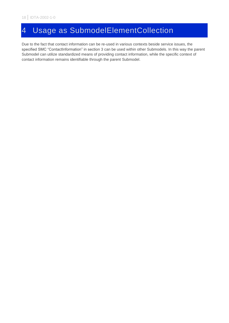# <span id="page-17-0"></span>4 Usage as SubmodelElementCollection

Due to the fact that contact information can be re-used in various contexts beside service issues, the specified SMC "ContactInformation" in section [3](#page-9-0) can be used within other Submodels. In this way the parent Submodel can utilize standardized means of providing contact information, while the specific context of contact information remains identifiable through the parent Submodel.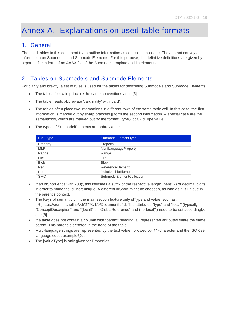# <span id="page-18-0"></span>Annex A. Explanations on used table formats

#### <span id="page-18-1"></span>1. General

The used tables in this document try to outline information as concise as possible. They do not convey all information on Submodels and SubmodelElements. For this purpose, the definitive definitions are given by a separate file in form of an AASX file of the Submodel template and its elements.

### <span id="page-18-2"></span>2. Tables on Submodels and SubmodelElements

For clarity and brevity, a set of rules is used for the tables for describing Submodels and SubmodelElements.

- The tables follow in principle the same conventions as in [5].
- The table heads abbreviate 'cardinality' with 'card'.
- The tables often place two informations in different rows of the same table cell. In this case, the first information is marked out by sharp brackets [] form the second information. A special case are the semanticIds, which are marked out by the format: (type)(local)[idType]value.
- The types of SubmodelElements are abbreviated:

| SME type    | SubmodelElement type      |
|-------------|---------------------------|
| Property    | Property                  |
| <b>MLP</b>  | MultiLanguageProperty     |
| Range       | Range                     |
| File        | File                      |
| <b>Blob</b> | <b>Blob</b>               |
| Ref         | ReferenceElement          |
| Rel         | RelationshipElement       |
| <b>SMC</b>  | SubmodelElementCollection |

- If an idShort ends with '{00}', this indicates a suffix of the respective length (here: 2) of decimal digits, in order to make the idShort unique. A different idShort might be choosen, as long as it is unique in the parent's context.
- The Keys of semanticId in the main section feature only idType and value, such as: [IRI]https://admin-shell.io/vdi/2770/1/0/DocumentId/Id. The attributes "type" and "local" (typically "ConceptDescription" and "(local)" or "GlobalReference" and (no-local)") need to be set accordingly; see [6].
- If a table does not contain a column with "parent" heading, all represented attributes share the same parent. This parent is denoted in the head of the table.
- Multi-language strings are represented by the text value, followed by '@'-character and the ISO 639 language code: example@de.
- The [valueType] is only given for Properties.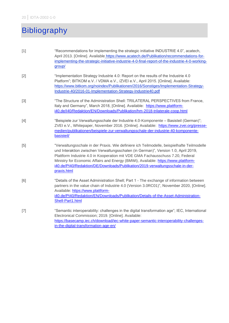# <span id="page-19-0"></span>Bibliography

| $[1]$ | "Recommendations for implementing the strategic initiative INDUSTRIE 4.0", acatech,<br>April 2013. [Online]. Available https://www.acatech.de/Publikation/recommendations-for-<br>implementing-the-strategic-initiative-industrie-4-0-final-report-of-the-industrie-4-0-working-<br>group/                                                                                                                                                               |
|-------|----------------------------------------------------------------------------------------------------------------------------------------------------------------------------------------------------------------------------------------------------------------------------------------------------------------------------------------------------------------------------------------------------------------------------------------------------------|
| $[2]$ | "Implementation Strategy Industrie 4.0: Report on the results of the Industrie 4.0<br>Platform"; BITKOM e.V. / VDMA e.V., /ZVEI e.V., April 2015. [Online]. Available:<br>https://www.bitkom.org/noindex/Publikationen/2016/Sonstiges/Implementation-Strategy-<br>Industrie-40/2016-01-Implementation-Strategy-Industrie40.pdf                                                                                                                           |
| $[3]$ | "The Structure of the Administration Shell: TRILATERAL PERSPECTIVES from France,<br>Italy and Germany", March 2018, [Online]. Available: https://www.plattform-<br>i40.de/I40/Redaktion/EN/Downloads/Publikation/hm-2018-trilaterale-coop.html                                                                                                                                                                                                           |
| $[4]$ | "Beispiele zur Verwaltungsschale der Industrie 4.0-Komponente - Basisteil (German)";<br>ZVEI e.V., Whitepaper, November 2016. [Online]. Available: https://www.zvei.org/presse-<br>medien/publikationen/beispiele-zur-verwaltungsschale-der-industrie-40-komponente-<br>basisteil/                                                                                                                                                                       |
| [5]   | "Verwaltungsschale in der Praxis. Wie definiere ich Teilmodelle, beispielhafte Teilmodelle<br>und Interaktion zwischen Verwaltungsschalen (in German)", Version 1.0, April 2019,<br>Plattform Industrie 4.0 in Kooperation mit VDE GMA Fachausschuss 7.20, Federal<br>Ministry for Economic Affairs and Energy (BMWi), Available: https://www.plattform-<br>i40.de/PI40/Redaktion/DE/Downloads/Publikation/2019-verwaltungsschale-in-der-<br>praxis.html |
| [6]   | "Details of the Asset Administration Shell; Part 1 - The exchange of information between<br>partners in the value chain of Industrie 4.0 (Version 3.0RC01)", November 2020, [Online].<br>Available: https://www.plattform-<br>i40.de/PI40/Redaktion/EN/Downloads/Publikation/Details-of-the-Asset-Administration-<br>Shell-Part1.html                                                                                                                    |
| $[7]$ | "Semantic interoperability: challenges in the digital transformation age"; IEC, International<br>Electronical Commission; 2019. [Online]. Available:<br>https://basecamp.iec.ch/download/iec-white-paper-semantic-interoperability-challenges-<br>in-the-digital-transformation-age-en/                                                                                                                                                                  |